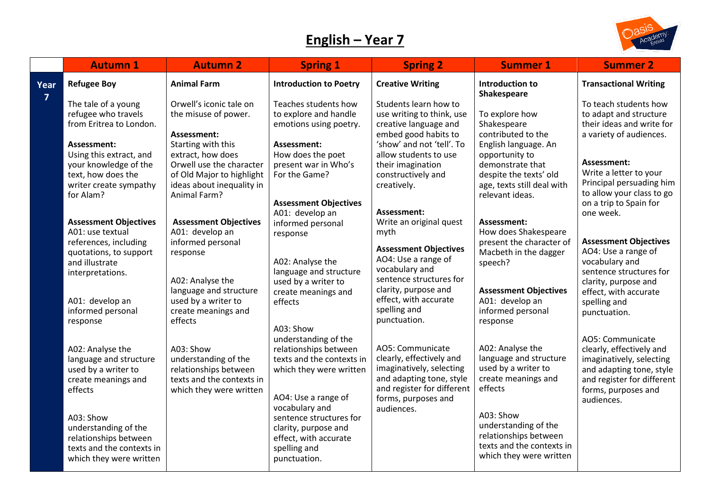## **English – Year 7**



|                | <b>Autumn 1</b>                                                                                                                                                                          | <b>Autumn 2</b>                                                                                                                                                                                 | <b>Spring 1</b>                                                                                                                                       | <b>Spring 2</b>                                                                                                                                                                                                     | <b>Summer 1</b>                                                                                                                                                           | <b>Summer 2</b>                                                                                                                                                                              |
|----------------|------------------------------------------------------------------------------------------------------------------------------------------------------------------------------------------|-------------------------------------------------------------------------------------------------------------------------------------------------------------------------------------------------|-------------------------------------------------------------------------------------------------------------------------------------------------------|---------------------------------------------------------------------------------------------------------------------------------------------------------------------------------------------------------------------|---------------------------------------------------------------------------------------------------------------------------------------------------------------------------|----------------------------------------------------------------------------------------------------------------------------------------------------------------------------------------------|
| Year           | <b>Refugee Boy</b>                                                                                                                                                                       | <b>Animal Farm</b>                                                                                                                                                                              | <b>Introduction to Poetry</b>                                                                                                                         | <b>Creative Writing</b>                                                                                                                                                                                             | Introduction to<br>Shakespeare                                                                                                                                            | <b>Transactional Writing</b>                                                                                                                                                                 |
| $\overline{7}$ | The tale of a young<br>refugee who travels<br>from Eritrea to London.<br>Assessment:<br>Using this extract, and<br>your knowledge of the<br>text, how does the<br>writer create sympathy | Orwell's iconic tale on<br>the misuse of power.<br>Assessment:<br>Starting with this<br>extract, how does<br>Orwell use the character<br>of Old Major to highlight<br>ideas about inequality in | Teaches students how<br>to explore and handle<br>emotions using poetry.<br>Assessment:<br>How does the poet<br>present war in Who's<br>For the Game?  | Students learn how to<br>use writing to think, use<br>creative language and<br>embed good habits to<br>'show' and not 'tell'. To<br>allow students to use<br>their imagination<br>constructively and<br>creatively. | To explore how<br>Shakespeare<br>contributed to the<br>English language. An<br>opportunity to<br>demonstrate that<br>despite the texts' old<br>age, texts still deal with | To teach students how<br>to adapt and structure<br>their ideas and write for<br>a variety of audiences.<br>Assessment:<br>Write a letter to your<br>Principal persuading him                 |
|                | for Alam?<br><b>Assessment Objectives</b><br>A01: use textual<br>references, including<br>quotations, to support<br>and illustrate<br>interpretations.                                   | Animal Farm?<br><b>Assessment Objectives</b><br>A01: develop an<br>informed personal<br>response<br>A02: Analyse the                                                                            | <b>Assessment Objectives</b><br>A01: develop an<br>informed personal<br>response<br>A02: Analyse the<br>language and structure<br>used by a writer to | Assessment:<br>Write an original quest<br>myth<br><b>Assessment Objectives</b><br>AO4: Use a range of<br>vocabulary and<br>sentence structures for                                                                  | relevant ideas.<br>Assessment:<br>How does Shakespeare<br>present the character of<br>Macbeth in the dagger<br>speech?                                                    | to allow your class to go<br>on a trip to Spain for<br>one week.<br><b>Assessment Objectives</b><br>AO4: Use a range of<br>vocabulary and<br>sentence structures for<br>clarity, purpose and |
|                | A01: develop an<br>informed personal<br>response                                                                                                                                         | language and structure<br>used by a writer to<br>create meanings and<br>effects                                                                                                                 | create meanings and<br>effects<br>A03: Show<br>understanding of the                                                                                   | clarity, purpose and<br>effect, with accurate<br>spelling and<br>punctuation.                                                                                                                                       | <b>Assessment Objectives</b><br>A01: develop an<br>informed personal<br>response                                                                                          | effect, with accurate<br>spelling and<br>punctuation.<br>AO5: Communicate                                                                                                                    |
|                | A02: Analyse the<br>language and structure<br>used by a writer to<br>create meanings and<br>effects                                                                                      | A03: Show<br>understanding of the<br>relationships between<br>texts and the contexts in<br>which they were written                                                                              | relationships between<br>texts and the contexts in<br>which they were written<br>AO4: Use a range of<br>vocabulary and                                | AO5: Communicate<br>clearly, effectively and<br>imaginatively, selecting<br>and adapting tone, style<br>and register for different<br>forms, purposes and                                                           | A02: Analyse the<br>language and structure<br>used by a writer to<br>create meanings and<br>effects                                                                       | clearly, effectively and<br>imaginatively, selecting<br>and adapting tone, style<br>and register for different<br>forms, purposes and<br>audiences.                                          |
|                | A03: Show<br>understanding of the<br>relationships between<br>texts and the contexts in<br>which they were written                                                                       |                                                                                                                                                                                                 | sentence structures for<br>clarity, purpose and<br>effect, with accurate<br>spelling and<br>punctuation.                                              | audiences.                                                                                                                                                                                                          | A03: Show<br>understanding of the<br>relationships between<br>texts and the contexts in<br>which they were written                                                        |                                                                                                                                                                                              |